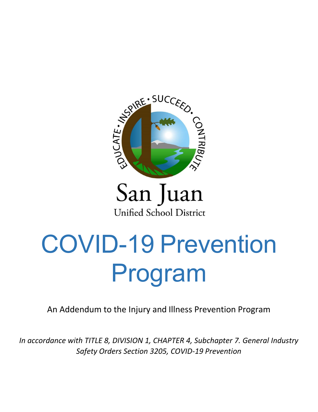

## San Juan **Unified School District**

# COVID-19 Prevention Program

An Addendum to the Injury and Illness Prevention Program

*In accordance with TITLE 8, DIVISION 1, CHAPTER 4, Subchapter 7. General Industry Safety Orders Section 3205, COVID-19 Prevention*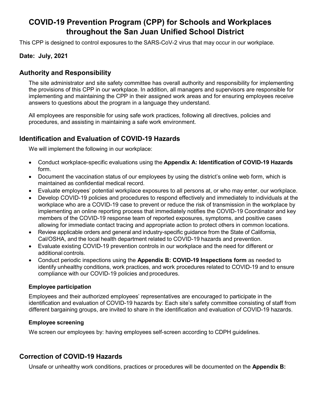## **COVID-19 Prevention Program (CPP) for Schools and Workplaces throughout the San Juan Unified School District**

This CPP is designed to control exposures to the SARS-CoV-2 virus that may occur in our workplace.

## **Date: July, 2021**

## **Authority and Responsibility**

The site administrator and site safety committee has overall authority and responsibility for implementing the provisions of this CPP in our workplace. In addition, all managers and supervisors are responsible for implementing and maintaining the CPP in their assigned work areas and for ensuring employees receive answers to questions about the program in a language they understand.

All employees are responsible for using safe work practices, following all directives, policies and procedures, and assisting in maintaining a safe work environment.

## **Identification and Evaluation of COVID-19 Hazards**

We will implement the following in our workplace:

- Conduct workplace-specific evaluations using the **Appendix A: Identification of COVID-19 Hazards** form.
- Document the vaccination status of our employees by using the district's online web form, which is maintained as confidential medical record.
- Evaluate employees' potential workplace exposures to all persons at, or who may enter, our workplace.
- Develop COVID-19 policies and procedures to respond effectively and immediately to individuals at the workplace who are a COVID-19 case to prevent or reduce the risk of transmission in the workplace by implementing an online reporting process that immediately notifies the COVID-19 Coordinator and key members of the COVID-19 response team of reported exposures, symptoms, and positive cases allowing for immediate contact tracing and appropriate action to protect others in common locations.
- Review applicable orders and general and industry-specific guidance from the State of California, Cal/OSHA, and the local health department related to COVID-19 hazards and prevention.
- Evaluate existing COVID-19 prevention controls in our workplace and the need for different or additional controls.
- Conduct periodic inspections using the **Appendix B: COVID-19 Inspections form** as needed to identify unhealthy conditions, work practices, and work procedures related to COVID-19 and to ensure compliance with our COVID-19 policies and procedures.

#### **Employee participation**

Employees and their authorized employees' representatives are encouraged to participate in the identification and evaluation of COVID-19 hazards by: Each site's safety committee consisting of staff from different bargaining groups, are invited to share in the identification and evaluation of COVID-19 hazards.

#### **Employee screening**

We screen our employees by: having employees self-screen according to CDPH guidelines.

## **Correction of COVID-19 Hazards**

Unsafe or unhealthy work conditions, practices or procedures will be documented on the **Appendix B:**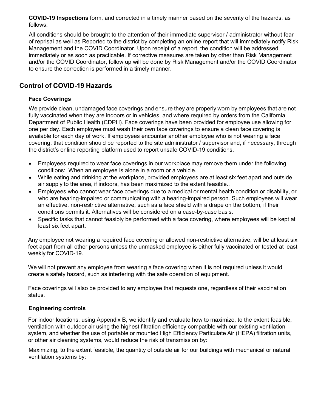**COVID-19 Inspections** form, and corrected in a timely manner based on the severity of the hazards, as follows:

All conditions should be brought to the attention of their immediate supervisor / administrator without fear of reprisal as well as Reported to the district by completing an online report that will immediately notify Risk Management and the COVID Coordinator. Upon receipt of a report, the condition will be addressed immediately or as soon as practicable. If corrective measures are taken by other than Risk Management and/or the COVID Coordinator, follow up will be done by Risk Management and/or the COVID Coordinator to ensure the correction is performed in a timely manner.

## **Control of COVID-19 Hazards**

## **Face Coverings**

We provide clean, undamaged face coverings and ensure they are properly worn by employees that are not fully vaccinated when they are indoors or in vehicles, and where required by orders from the California Department of Public Health (CDPH). Face coverings have been provided for employee use allowing for one per day. Each employee must wash their own face coverings to ensure a clean face covering is available for each day of work. If employees encounter another employee who is not wearing a face covering, that condition should be reported to the site administrator / supervisor and, if necessary, through the district's online reporting platform used to report unsafe COVID-19 conditions.

- Employees required to wear face coverings in our workplace may remove them under the following conditions: When an employee is alone in a room or a vehicle.
- While eating and drinking at the workplace, provided employees are at least six feet apart and outside air supply to the area, if indoors, has been maximized to the extent feasible..
- Employees who cannot wear face coverings due to a medical or mental health condition or disability, or who are hearing-impaired or communicating with a hearing-impaired person. Such employees will wear an effective, non-restrictive alternative, such as a face shield with a drape on the bottom, if their conditions permits it. Alternatives will be considered on a case-by-case basis.
- Specific tasks that cannot feasibly be performed with a face covering, where employees will be kept at least six feet apart.

Any employee not wearing a required face covering or allowed non-restrictive alternative, will be at least six feet apart from all other persons unless the unmasked employee is either fully vaccinated or tested at least weekly for COVID-19.

We will not prevent any employee from wearing a face covering when it is not required unless it would create a safety hazard, such as interfering with the safe operation of equipment.

Face coverings will also be provided to any employee that requests one, regardless of their vaccination status.

#### **Engineering controls**

For indoor locations, using Appendix B, we identify and evaluate how to maximize, to the extent feasible, ventilation with outdoor air using the highest filtration efficiency compatible with our existing ventilation system, and whether the use of portable or mounted High Efficiency Particulate Air (HEPA) filtration units, or other air cleaning systems, would reduce the risk of transmission by:

Maximizing, to the extent feasible, the quantity of outside air for our buildings with mechanical or natural ventilation systems by: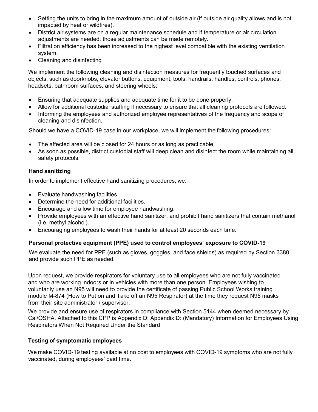- Setting the units to bring in the maximum amount of outside air (if outside air quality allows and is not impacted by heat or wildfires).
- District air systems are on a regular maintenance schedule and if temperature or air circulation adjustments are needed, those adjustments can be made remotely.
- Filtration efficiency has been increased to the highest level compatible with the existing ventilation system.
- Cleaning and disinfecting

We implement the following cleaning and disinfection measures for frequently touched surfaces and objects, such as doorknobs, elevator buttons, equipment, tools, handrails, handles, controls, phones, headsets, bathroom surfaces, and steering wheels:

- Ensuring that adequate supplies and adequate time for it to be done properly.
- Allow for additional custodial staffing if necessary to ensure that all cleaning protocols are followed.
- Informing the employees and authorized employee representatives of the frequency and scope of cleaning and disinfection.

Should we have a COVID-19 case in our workplace, we will implement the following procedures:

- The affected area will be closed for 24 hours or as long as practicable.
- As soon as possible, district custodial staff will deep clean and disinfect the room while maintaining all safety protocols.

## **Hand sanitizing**

In order to implement effective hand sanitizing procedures, we:

- Evaluate handwashing facilities.
- Determine the need for additional facilities.
- Encourage and allow time for employee handwashing.
- Provide employees with an effective hand sanitizer, and prohibit hand sanitizers that contain methanol (i.e. methyl alcohol).
- Encouraging employees to wash their hands for at least 20 seconds each time.

## **Personal protective equipment (PPE) used to control employees' exposure to COVID-19**

We evaluate the need for PPE (such as gloves, goggles, and face shields) as required by Section 3380, and provide such PPE as needed.

Upon request, we provide respirators for voluntary use to all employees who are not fully vaccinated and who are working indoors or in vehicles with more than one person. Employees wishing to voluntarily use an N95 will need to provide the certificate of passing Public School Works training module M-874 (How to Put on and Take off an N95 Respirator) at the time they request N95 masks from their site administrator / supervisor.

We provide and ensure use of respirators in compliance with Section 5144 when deemed necessary by Cal/OSHA. Attached to this CPP is Appendix D: Appendix D: (Mandatory) Information for Employees Using Respirators When Not Required Under the Standard

#### **Testing of symptomatic employees**

We make COVID-19 testing available at no cost to employees with COVID-19 symptoms who are not fully vaccinated, during employees' paid time.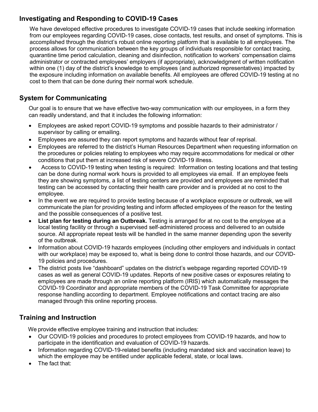## **Investigating and Responding to COVID-19 Cases**

We have developed effective procedures to investigate COVID-19 cases that include seeking information from our employees regarding COVID-19 cases, close contacts, test results, and onset of symptoms. This is accomplished through the district's robust online reporting platform that is available to all employees. The process allows for communication between the key groups of individuals responsible for contact tracing, quarantine time period calculation, cleaning and disinfection, notification to workers' compensation claims administrator or contracted employees' employers (if appropriate), acknowledgment of written notification within one (1) day of the district's knowledge to employees (and authorized representatives) impacted by the exposure including information on available benefits. All employees are offered COVID-19 testing at no cost to them that can be done during their normal work schedule.

## **System for Communicating**

Our goal is to ensure that we have effective two-way communication with our employees, in a form they can readily understand, and that it includes the following information:

- Employees are asked report COVID-19 symptoms and possible hazards to their administrator / supervisor by calling or emailing.
- Employees are assured they can report symptoms and hazards without fear of reprisal.
- Employees are referred to the district's Human Resources Department when requesting information on the procedures or policies relating to employees who may require accommodations for medical or other conditions that put them at increased risk of severe COVID-19 illness.
- Access to COVID-19 testing when testing is required: Information on testing locations and that testing can be done during normal work hours is provided to all employees via email. If an employee feels they are showing symptoms, a list of testing centers are provided and employees are reminded that testing can be accessed by contacting their health care provider and is provided at no cost to the employee.
- In the event we are required to provide testing because of a workplace exposure or outbreak, we will communicate the plan for providing testing and inform affected employees of the reason for the testing and the possible consequences of a positive test.
- **List plan for testing during an Outbreak.** Testing is arranged for at no cost to the employee at a local testing facility or through a supervised self-administered process and delivered to an outside source. All appropriate repeat tests will be handled in the same manner depending upon the severity of the outbreak.
- Information about COVID-19 hazards employees (including other employers and individuals in contact with our workplace) may be exposed to, what is being done to control those hazards, and our COVID-19 policies and procedures.
- The district posts live "dashboard" updates on the district's webpage regarding reported COVID-19 cases as well as general COVID-19 updates. Reports of new positive cases or exposures relating to employees are made through an online reporting platform (IRIS) which automatically messages the COVID-19 Coordinator and appropriate members of the COVID-19 Task Committee for appropriate response handling according to department. Employee notifications and contact tracing are also managed through this online reporting process.

## **Training and Instruction**

We provide effective employee training and instruction that includes:

- Our COVID-19 policies and procedures to protect employees from COVID-19 hazards, and how to participate in the identification and evaluation of COVID-19 hazards.
- Information regarding COVID-19-related benefits (including mandated sick and vaccination leave) to which the employee may be entitled under applicable federal, state, or local laws.
- The fact that: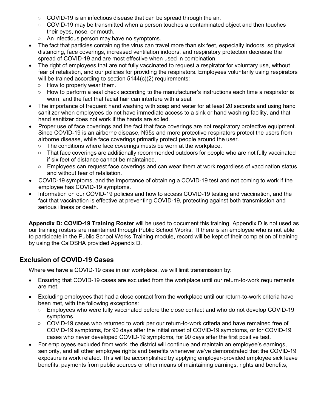- **○** COVID-19 is an infectious disease that can be spread through the air.
- **○** COVID-19 may be transmitted when a person touches a contaminated object and then touches their eyes, nose, or mouth.
- **○** An infectious person may have no symptoms.
- The fact that particles containing the virus can travel more than six feet, especially indoors, so physical distancing, face coverings, increased ventilation indoors, and respiratory protection decrease the spread of COVID-19 and are most effective when used in combination.
- The right of employees that are not fully vaccinated to request a respirator for voluntary use, without fear of retaliation, and our policies for providing the respirators. Employees voluntarily using respirators will be trained according to section 5144(c)(2) requirements:
	- **○** How to properly wear them.
	- **○** How to perform a seal check according to the manufacturer's instructions each time a respirator is worn, and the fact that facial hair can interfere with a seal.
- The importance of frequent hand washing with soap and water for at least 20 seconds and using hand sanitizer when employees do not have immediate access to a sink or hand washing facility, and that hand sanitizer does not work if the hands are soiled.
- Proper use of face coverings and the fact that face coverings are not respiratory protective equipment. Since COVID-19 is an airborne disease, N95s and more protective respirators protect the users from airborne disease, while face coverings primarily protect people around the user.
	- **○** The conditions where face coverings musts be worn at the workplace.
	- **○** That face coverings are additionally recommended outdoors for people who are not fully vaccinated if six feet of distance cannot be maintained.
	- **○** Employees can request face coverings and can wear them at work regardless of vaccination status and without fear of retaliation.
- COVID-19 symptoms, and the importance of obtaining a COVID-19 test and not coming to work if the employee has COVID-19 symptoms.
- Information on our COVID-19 policies and how to access COVID-19 testing and vaccination, and the fact that vaccination is effective at preventing COVID-19, protecting against both transmission and serious illness or death.

**Appendix D: COVID-19 Training Roster** will be used to document this training. Appendix D is not used as our training rosters are maintained through Public School Works. If there is an employee who is not able to participate in the Public School Works Training module, record will be kept of their completion of training by using the CalOSHA provided Appendix D.

## **Exclusion of COVID-19 Cases**

Where we have a COVID-19 case in our workplace, we will limit transmission by:

- Ensuring that COVID-19 cases are excluded from the workplace until our return-to-work requirements are met.
- Excluding employees that had a close contact from the workplace until our return-to-work criteria have been met, with the following exceptions:
	- **○** Employees who were fully vaccinated before the close contact and who do not develop COVID-19 symptoms.
	- **○** COVID-19 cases who returned to work per our return-to-work criteria and have remained free of COVID-19 symptoms, for 90 days after the initial onset of COVID-19 symptoms, or for COVID-19 cases who never developed COVID-19 symptoms, for 90 days after the first positive test.
- For employees excluded from work, the district will continue and maintain an employee's earnings, seniority, and all other employee rights and benefits whenever we've demonstrated that the COVID-19 exposure is work related. This will be accomplished by applying employer-provided employee sick leave benefits, payments from public sources or other means of maintaining earnings, rights and benefits,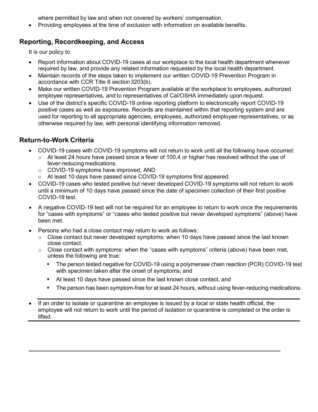where permitted by law and when not covered by workers' compensation.

• Providing employees at the time of exclusion with information on available benefits.

## **Reporting, Recordkeeping, and Access**

It is our policy to:

- Report information about COVID-19 cases at our workplace to the local health department whenever required by law, and provide any related information requested by the local health department.
- Maintain records of the steps taken to implement our written COVID-19 Prevention Program in accordance with CCR Title 8 section3203(b).
- Make our written COVID-19 Prevention Program available at the workplace to employees, authorized employee representatives, and to representatives of Cal/OSHA immediately upon request.
- Use of the district's specific COVID-19 online reporting platform to electronically report COVID-19 positive cases as well as exposures. Records are maintained within that reporting system and are used for reporting to all appropriate agencies, employees, authorized employee representatives, or as otherwise required by law, with personal identifying information removed.

## **Return-to-Work Criteria**

- COVID-19 cases with COVID-19 symptoms will not return to work until all the following have occurred:
	- $\circ$  At least 24 hours have passed since a fever of 100.4 or higher has resolved without the use of fever-reducing medications.
	- o COVID-19 symptoms have improved, AND
	- o At least 10 days have passed since COVID-19 symptoms first appeared.
- COVID-19 cases who tested positive but never developed COVID-19 symptoms will not return to work until a minimum of 10 days have passed since the date of specimen collection of their first positive COVID-19 test.
- A negative COVID-19 test will not be required for an employee to return to work once the requirements for "cases with symptoms" or "cases who tested positive but never developed symptoms" (above) have been met.
- Persons who had a close contact may return to work as follows:
	- $\circ$  Close contact but never developed symptoms: when 10 days have passed since the last known close contact.
	- $\circ$  Close contact with symptoms: when the "cases with symptoms" criteria (above) have been met, unless the following are true:
		- The person tested negative for COVID-19 using a polymerase chain reaction (PCR) COVID-19 test with specimen taken after the onset of symptoms; and
		- At least 10 days have passed since the last known close contact, and
		- **The person has been symptom-free for at least 24 hours, without using fever-reducing medications.**
- If an order to isolate or quarantine an employee is issued by a local or state health official, the employee will not return to work until the period of isolation or quarantine is completed or the order is lifted.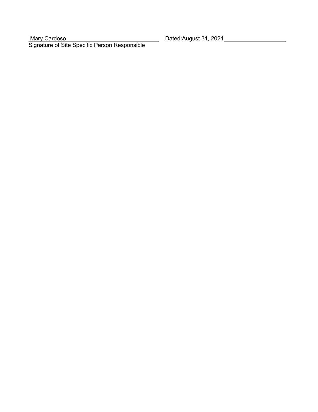Mary Cardoso Dated:August 31, 2021 Signature of Site Specific Person Responsible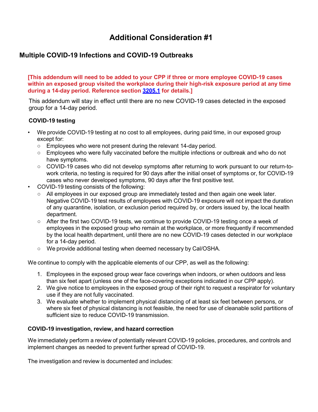## **Additional Consideration #1**

## **Multiple COVID-19 Infections and COVID-19 Outbreaks**

**[This addendum will need to be added to your CPP if three or more employee COVID-19 cases within an exposed group visited the workplace during their high-risk exposure period at any time during a 14-day period. Reference section [3205.1](https://www.dir.ca.gov/title8/3205_1.html) for details.]**

This addendum will stay in effect until there are no new COVID-19 cases detected in the exposed group for a 14-day period.

#### **COVID-19 testing**

- We provide COVID-19 testing at no cost to all employees, during paid time, in our exposed group except for:
	- Employees who were not present during the relevant 14-day period.
	- Employees who were fully vaccinated before the multiple infections or outbreak and who do not have symptoms.
	- COVID-19 cases who did not develop symptoms after returning to work pursuant to our return-towork criteria, no testing is required for 90 days after the initial onset of symptoms or, for COVID-19 cases who never developed symptoms, 90 days after the first positive test.
- COVID-19 testing consists of the following:
	- All employees in our exposed group are immediately tested and then again one week later. Negative COVID-19 test results of employees with COVID-19 exposure will not impact the duration of any quarantine, isolation, or exclusion period required by, or orders issued by, the local health department.
	- After the first two COVID-19 tests, we continue to provide COVID-19 testing once a week of employees in the exposed group who remain at the workplace, or more frequently if recommended by the local health department, until there are no new COVID-19 cases detected in our workplace for a 14-day period.
	- We provide additional testing when deemed necessary by Cal/OSHA.

We continue to comply with the applicable elements of our CPP, as well as the following:

- 1. Employees in the exposed group wear face coverings when indoors, or when outdoors and less than six feet apart (unless one of the face-covering exceptions indicated in our CPP apply).
- 2. We give notice to employees in the exposed group of their right to request a respirator for voluntary use if they are not fully vaccinated.
- 3. We evaluate whether to implement physical distancing of at least six feet between persons, or where six feet of physical distancing is not feasible, the need for use of cleanable solid partitions of sufficient size to reduce COVID-19 transmission.

## **COVID-19 investigation, review, and hazard correction**

We immediately perform a review of potentially relevant COVID-19 policies, procedures, and controls and implement changes as needed to prevent further spread of COVID-19.

The investigation and review is documented and includes: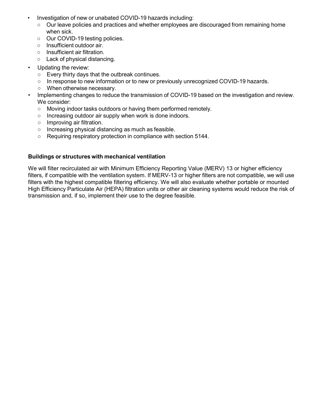- Investigation of new or unabated COVID-19 hazards including:
	- Our leave policies and practices and whether employees are discouraged from remaining home when sick.
	- Our COVID-19 testing policies.
	- Insufficient outdoor air.
	- Insufficient air filtration.
	- Lack of physical distancing.
- Updating the review:
	- Every thirty days that the outbreak continues.
	- In response to new information or to new or previously unrecognized COVID-19 hazards.
	- When otherwise necessary.
- Implementing changes to reduce the transmission of COVID-19 based on the investigation and review. We consider:
	- Moving indoor tasks outdoors or having them performed remotely.
	- Increasing outdoor air supply when work is done indoors.
	- Improving air filtration.
	- Increasing physical distancing as much as feasible.
	- Requiring respiratory protection in compliance with section 5144.

#### **Buildings or structures with mechanical ventilation**

We will filter recirculated air with Minimum Efficiency Reporting Value (MERV) 13 or higher efficiency filters, if compatible with the ventilation system. If MERV-13 or higher filters are not compatible, we will use filters with the highest compatible filtering efficiency. We will also evaluate whether portable or mounted High Efficiency Particulate Air (HEPA) filtration units or other air cleaning systems would reduce the risk of transmission and, if so, implement their use to the degree feasible.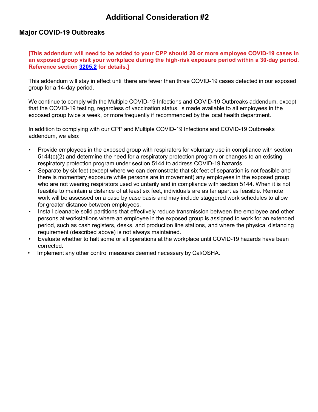## **Additional Consideration #2**

## **Major COVID-19 Outbreaks**

**[This addendum will need to be added to your CPP should 20 or more employee COVID-19 cases in an exposed group visit your workplace during the high-risk exposure period within a 30-day period. Reference section [3205.2](https://www.dir.ca.gov/title8/3205_2.html) for details.]**

This addendum will stay in effect until there are fewer than three COVID-19 cases detected in our exposed group for a 14-day period.

We continue to comply with the Multiple COVID-19 Infections and COVID-19 Outbreaks addendum, except that the COVID-19 testing, regardless of vaccination status, is made available to all employees in the exposed group twice a week, or more frequently if recommended by the local health department.

In addition to complying with our CPP and Multiple COVID-19 Infections and COVID-19 Outbreaks addendum, we also:

- Provide employees in the exposed group with respirators for voluntary use in compliance with section 5144(c)(2) and determine the need for a respiratory protection program or changes to an existing respiratory protection program under section 5144 to address COVID-19 hazards.
- Separate by six feet (except where we can demonstrate that six feet of separation is not feasible and there is momentary exposure while persons are in movement) any employees in the exposed group who are not wearing respirators used voluntarily and in compliance with section 5144. When it is not feasible to maintain a distance of at least six feet, individuals are as far apart as feasible. Remote work will be assessed on a case by case basis and may include staggered work schedules to allow for greater distance between employees.
- Install cleanable solid partitions that effectively reduce transmission between the employee and other persons at workstations where an employee in the exposed group is assigned to work for an extended period, such as cash registers, desks, and production line stations, and where the physical distancing requirement (described above) is not always maintained.
- Evaluate whether to halt some or all operations at the workplace until COVID-19 hazards have been corrected.
- Implement any other control measures deemed necessary by Cal/OSHA.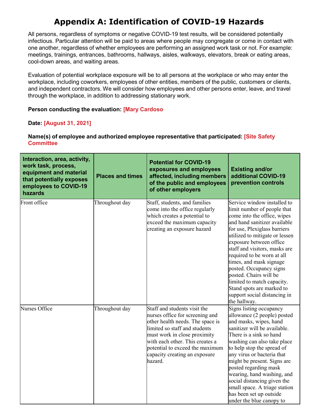## **Appendix A: Identification of COVID-19 Hazards**

All persons, regardless of symptoms or negative COVID-19 test results, will be considered potentially infectious. Particular attention will be paid to areas where people may congregate or come in contact with one another, regardless of whether employees are performing an assigned work task or not. For example: meetings, trainings, entrances, bathrooms, hallways, aisles, walkways, elevators, break or eating areas, cool-down areas, and waiting areas.

Evaluation of potential workplace exposure will be to all persons at the workplace or who may enter the workplace, including coworkers, employees of other entities, members of the public, customers or clients, and independent contractors. We will consider how employees and other persons enter, leave, and travel through the workplace, in addition to addressing stationary work.

## **Person conducting the evaluation: [Mary Cardoso**

## **Date: [August 31, 2021]**

## **Name(s) of employee and authorized employee representative that participated: [Site Safety Committee**

| Interaction, area, activity,<br>work task, process,<br>equipment and material<br>that potentially exposes<br>employees to COVID-19<br>hazards | <b>Places and times</b> | <b>Potential for COVID-19</b><br>exposures and employees<br>affected, including members<br>of the public and employees<br>of other employers                                                                                                                                           | <b>Existing and/or</b><br>additional COVID-19<br>prevention controls                                                                                                                                                                                                                                                                                                                                                                                                             |
|-----------------------------------------------------------------------------------------------------------------------------------------------|-------------------------|----------------------------------------------------------------------------------------------------------------------------------------------------------------------------------------------------------------------------------------------------------------------------------------|----------------------------------------------------------------------------------------------------------------------------------------------------------------------------------------------------------------------------------------------------------------------------------------------------------------------------------------------------------------------------------------------------------------------------------------------------------------------------------|
| Front office                                                                                                                                  | Throughout day          | Staff, students, and families<br>come into the office regularly<br>which creates a potential to<br>exceed the maximum capacity<br>creating an exposure hazard                                                                                                                          | Service window installed to<br>limit number of people that<br>come into the office, wipes<br>and hand sanitizer available<br>for use, Plexiglass barriers<br>utilized to mitigate or lessen<br>exposure between office<br>staff and visitors, masks are<br>required to be worn at all<br>times, and mask signage<br>posted. Occupancy signs<br>posted. Chairs will be<br>limited to match capacity.<br>Stand spots are marked to<br>support social distancing in<br>the hallway. |
| Nurses Office                                                                                                                                 | Throughout day          | Staff and students visit the<br>nurses office for screening and<br>other health needs. The space is<br>limited so staff and students<br>must work in close proximity<br>with each other. This creates a<br>potential to exceed the maximum<br>capacity creating an exposure<br>hazard. | Signs listing occupancy<br>allowance (2 people) posted<br>and masks, wipes, hand<br>sanitizer will be available.<br>There is a sink so hand<br>washing can also take place<br>to help stop the spread of<br>any virus or bacteria that<br>might be present. Signs are<br>posted regarding mask<br>wearing, hand washing, and<br>social distancing given the<br>small space. A triage station<br>has been set up outside<br>under the blue canopy to                              |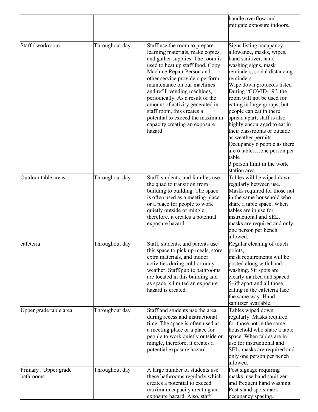|                                   |                |                                                                                                                                                                                                                                                                                                                                                                                                                                                             | handle overflow and<br>mitigate exposure indoors.                                                                                                                                                                                                                                                                                                                                                                                                                                                                                        |
|-----------------------------------|----------------|-------------------------------------------------------------------------------------------------------------------------------------------------------------------------------------------------------------------------------------------------------------------------------------------------------------------------------------------------------------------------------------------------------------------------------------------------------------|------------------------------------------------------------------------------------------------------------------------------------------------------------------------------------------------------------------------------------------------------------------------------------------------------------------------------------------------------------------------------------------------------------------------------------------------------------------------------------------------------------------------------------------|
| Staff / workroom                  | Throughout day | Staff use the room to prepare<br>learning materials, make copies,<br>and gather supplies. The room is<br>used to heat up staff food. Copy<br>Machine Repair Person and<br>other service providers perform<br>maintenance on our machines<br>and refill vending machines,<br>periodically. As a result of the<br>amount of activity generated in<br>staff room, this creates a<br>potential to exceed the maximum<br>capacity creating an exposure<br>hazard | Signs listing occupancy<br>allowance, masks, wipes,<br>hand sanitizer, hand<br>washing signs, mask<br>reminders, social distancing<br>reminders.<br>Wipe down protocols listed<br>During "COVID-19", the<br>room will not be used for<br>eating in large groups, but<br>people can eat in there<br>spread apart; staff is also<br>highly encouraged to eat in<br>their classrooms or outside<br>as weather permits.<br>Occupancy 6 people as there<br>are 6 tablesone person per<br>table<br>3 person limit in the work<br>station area. |
| Outdoor table areas               | Throughout day | Staff, students, and families use<br>the quad to transition from<br>building to building. The space<br>is often used as a meeting place<br>or a place for people to work<br>quietly outside or mingle,<br>therefore, it creates a potential<br>exposure hazard.                                                                                                                                                                                             | Tables will be wiped down<br>regularly between use.<br>Masks required for those not<br>in the same household who<br>share a table space. When<br>tables are in use for<br>instructional and SEL,<br>masks are required and only<br>one person per bench<br>allowed.                                                                                                                                                                                                                                                                      |
| cafeteria                         | Throughout day | Staff, students, and parents use<br>this space to pick up meals, store<br>extra materials, and indoor<br>activities during cold or rainy<br>weather. Staff/public bathrooms<br>are located in this building and<br>as space is limited an exposure<br>hazard is created.                                                                                                                                                                                    | Regular cleaning of touch<br>points,<br>mask requirements will be<br>posted along with hand<br>washing. Sit spots are<br>clearly marked and spaced<br>5-6ft apart and all those<br>eating in the cafeteria face<br>the same way. Hand<br>sanitizer available.                                                                                                                                                                                                                                                                            |
| Upper grade table area            | Throughout day | Staff and students use the area<br>during recess and instructional<br>time. The space is often used as<br>a meeting place or a place for<br>people to work quietly outside or<br>mingle, therefore, it creates a<br>potential exposure hazard.                                                                                                                                                                                                              | Tables wiped down<br>regularly. Masks required<br>for those not in the same<br>household who share a table<br>space. When tables are in<br>use for instructional and<br>SEL, masks are required and<br>only one person per bench<br>allowed.                                                                                                                                                                                                                                                                                             |
| Primary, Upper grade<br>bathrooms | Throughout day | A large number of students use<br>these bathrooms regularly which<br>creates a potential to exceed<br>maximum capacity creating an<br>exposure hazard. Also, staff                                                                                                                                                                                                                                                                                          | Post signage requiring<br>masks, use hand sanitizer<br>and frequent hand washing.<br>Post stand spots mark<br>occupancy spacing.                                                                                                                                                                                                                                                                                                                                                                                                         |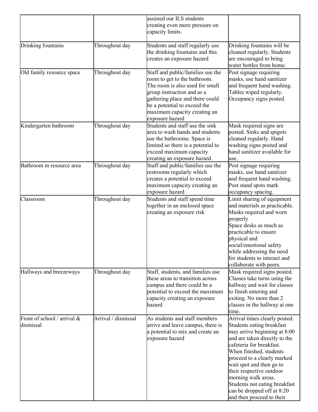|                                            |                     | assisted our ILS students<br>creating even more pressure on<br>capacity limits.                                                                                                                                                                          |                                                                                                                                                                                                                                                                                                                                                                                              |
|--------------------------------------------|---------------------|----------------------------------------------------------------------------------------------------------------------------------------------------------------------------------------------------------------------------------------------------------|----------------------------------------------------------------------------------------------------------------------------------------------------------------------------------------------------------------------------------------------------------------------------------------------------------------------------------------------------------------------------------------------|
| Drinking fountains                         | Throughout day      | Students and staff regularly use<br>the drinking fountains and this<br>creates an exposure hazard                                                                                                                                                        | Drinking fountains will be<br>cleaned regularly. Students<br>are encouraged to bring<br>water bottles from home.                                                                                                                                                                                                                                                                             |
| Old family resource space                  | Throughout day      | Staff and public/families use the<br>room to get to the bathroom.<br>The room is also used for small<br>group instruction and as a<br>gathering place and there could<br>be a potential to exceed the<br>maximum capacity creating an<br>exposure hazard | Post signage requiring<br>masks, use hand sanitizer<br>and frequent hand washing.<br>Tables wiped regularly.<br>Occupancy signs posted.                                                                                                                                                                                                                                                      |
| Kindergarten bathroom                      | Throughout day      | Students and staff use the sink<br>area to wash hands and students<br>use the bathrooms. Space is<br>limited so there is a potential to<br>exceed maximum capacity<br>creating an exposure hazard.                                                       | Mask required signs are<br>posted. Sinks and spigots<br>cleaned regularly. Hand<br>washing signs posted and<br>hand sanitizer available for<br>use.                                                                                                                                                                                                                                          |
| Bathroom in resource area                  | Throughout day      | Staff and public/families use the<br>restrooms regularly which<br>creates a potential to exceed<br>maximum capacity creating an<br>exposure hazard                                                                                                       | Post signage requiring<br>masks, use hand sanitizer<br>and frequent hand washing.<br>Post stand spots mark<br>occupancy spacing.                                                                                                                                                                                                                                                             |
| Classroom                                  | Throughout day      | Students and staff spend time<br>together in an enclosed space<br>creating an exposure risk                                                                                                                                                              | Limit sharing of equipment<br>and materials as practicable.<br>Masks required and worn<br>properly<br>Space desks as much as<br>practicable to ensure<br>physical and<br>social/emotional safety<br>while addressing the need<br>for students to interact and<br>collaborate with peers.                                                                                                     |
| Hallways and breezeways                    | Throughout day      | Staff, students, and families use<br>these areas to transition across<br>campus and there could be a<br>potential to exceed the maximum<br>capacity creating an exposure<br>hazard                                                                       | Mask required signs posted.<br>Classes take turns using the<br>hallway and wait for classes<br>to finish entering and<br>exiting. No more than 2<br>classes in the hallway at one<br>tıme.                                                                                                                                                                                                   |
| Front of school / arrival $&$<br>dismissal | Arrival / dismissal | As students and staff members<br>arrive and leave campus, there is<br>a potential to mix and create an<br>exposure hazard                                                                                                                                | Arrival times clearly posted.<br>Students eating breakfast<br>may arrive beginning at 8:00<br>and are taken directly to the<br>cafeteria for breakfast.<br>When finished, students<br>proceed to a clearly marked<br>wait spot and then go to<br>their respective outdoor<br>morning walk areas.<br>Students not eating breakfast<br>can be dropped off at 8:20<br>and then proceed to their |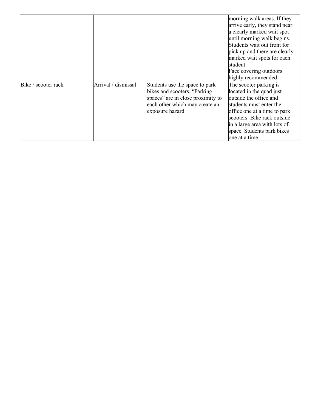|                     |                     |                                                                                                                                                          | morning walk areas. If they<br>arrive early, they stand near<br>a clearly marked wait spot<br>until morning walk begins.<br>Students wait out front for<br>pick up and there are clearly<br>marked wait spots for each<br>student.                     |
|---------------------|---------------------|----------------------------------------------------------------------------------------------------------------------------------------------------------|--------------------------------------------------------------------------------------------------------------------------------------------------------------------------------------------------------------------------------------------------------|
|                     |                     |                                                                                                                                                          | Face covering outdoors<br>highly recommended                                                                                                                                                                                                           |
| Bike / scooter rack | Arrival / dismissal | Students use the space to park<br>bikes and scooters. "Parking<br>spaces" are in close proximity to<br>each other which may create an<br>exposure hazard | The scooter parking is<br>located in the quad just<br>outside the office and<br>students must enter the<br>office one at a time to park<br>scooters. Bike rack outside<br>in a large area with lots of<br>space. Students park bikes<br>one at a time. |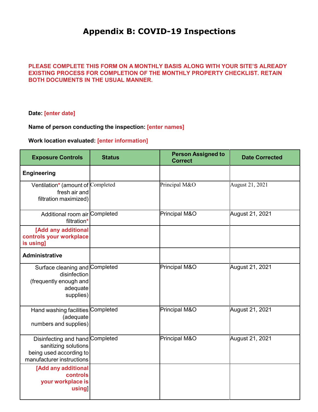## **Appendix B: COVID-19 Inspections**

## **PLEASE COMPLETE THIS FORM ON A MONTHLY BASIS ALONG WITH YOUR SITE'S ALREADY EXISTING PROCESS FOR COMPLETION OF THE MONTHLY PROPERTY CHECKLIST. RETAIN BOTH DOCUMENTS IN THE USUAL MANNER.**

#### **Date: [enter date]**

## **Name of person conducting the inspection: [enter names]**

## **Work location evaluated: [enter information]**

| <b>Exposure Controls</b>                                                                                        | <b>Status</b> | <b>Person Assigned to</b><br><b>Correct</b> | <b>Date Corrected</b> |
|-----------------------------------------------------------------------------------------------------------------|---------------|---------------------------------------------|-----------------------|
| <b>Engineering</b>                                                                                              |               |                                             |                       |
| Ventilation* (amount of Completed<br>fresh air and<br>filtration maximized)                                     |               | Principal M&O                               | August 21, 2021       |
| Additional room air Completed<br>filtration*                                                                    |               | Principal M&O                               | August 21, 2021       |
| [Add any additional<br>controls your workplace<br>is using]                                                     |               |                                             |                       |
| <b>Administrative</b>                                                                                           |               |                                             |                       |
| Surface cleaning and Completed<br>disinfection<br>(frequently enough and<br>adequate<br>supplies)               |               | Principal M&O                               | August 21, 2021       |
| Hand washing facilities Completed<br>(adequate<br>numbers and supplies)                                         |               | Principal M&O                               | August 21, 2021       |
| Disinfecting and hand Completed<br>sanitizing solutions<br>being used according to<br>manufacturer instructions |               | Principal M&O                               | August 21, 2021       |
| [Add any additional<br>controls<br>your workplace is<br>using                                                   |               |                                             |                       |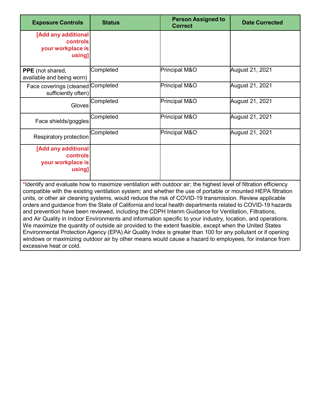| <b>Exposure Controls</b>                                                                                                                                                                                                                                                                                                                                                                                                                                                                                                                                                                                                                                                                                                                                                                                                                                                                                                                                                                                        | <b>Status</b> | <b>Person Assigned to</b><br><b>Correct</b> | <b>Date Corrected</b> |
|-----------------------------------------------------------------------------------------------------------------------------------------------------------------------------------------------------------------------------------------------------------------------------------------------------------------------------------------------------------------------------------------------------------------------------------------------------------------------------------------------------------------------------------------------------------------------------------------------------------------------------------------------------------------------------------------------------------------------------------------------------------------------------------------------------------------------------------------------------------------------------------------------------------------------------------------------------------------------------------------------------------------|---------------|---------------------------------------------|-----------------------|
| [Add any additional<br><b>controls</b><br>your workplace is<br>using]                                                                                                                                                                                                                                                                                                                                                                                                                                                                                                                                                                                                                                                                                                                                                                                                                                                                                                                                           |               |                                             |                       |
| PPE (not shared,<br>available and being worn)                                                                                                                                                                                                                                                                                                                                                                                                                                                                                                                                                                                                                                                                                                                                                                                                                                                                                                                                                                   | Completed     | Principal M&O                               | August 21, 2021       |
| Face coverings (cleaned<br>sufficiently often)                                                                                                                                                                                                                                                                                                                                                                                                                                                                                                                                                                                                                                                                                                                                                                                                                                                                                                                                                                  | Completed     | Principal M&O                               | August 21, 2021       |
| Gloves                                                                                                                                                                                                                                                                                                                                                                                                                                                                                                                                                                                                                                                                                                                                                                                                                                                                                                                                                                                                          | Completed     | Principal M&O                               | August 21, 2021       |
| Face shields/goggles                                                                                                                                                                                                                                                                                                                                                                                                                                                                                                                                                                                                                                                                                                                                                                                                                                                                                                                                                                                            | Completed     | Principal M&O                               | August 21, 2021       |
| Respiratory protection                                                                                                                                                                                                                                                                                                                                                                                                                                                                                                                                                                                                                                                                                                                                                                                                                                                                                                                                                                                          | Completed     | Principal M&O                               | August 21, 2021       |
| [Add any additional<br><b>controls</b><br>your workplace is<br>using]                                                                                                                                                                                                                                                                                                                                                                                                                                                                                                                                                                                                                                                                                                                                                                                                                                                                                                                                           |               |                                             |                       |
| *Identify and evaluate how to maximize ventilation with outdoor air; the highest level of filtration efficiency<br>compatible with the existing ventilation system; and whether the use of portable or mounted HEPA filtration<br>units, or other air cleaning systems, would reduce the risk of COVID-19 transmission. Review applicable<br>orders and guidance from the State of California and local health departments related to COVID-19 hazards<br>and prevention have been reviewed, including the CDPH Interim Guidance for Ventilation, Filtrations,<br>and Air Quality in Indoor Environments and information specific to your industry, location, and operations.<br>We maximize the quantity of outside air provided to the extent feasible, except when the United States<br>Environmental Protection Agency (EPA) Air Quality Index is greater than 100 for any pollutant or if opening<br>windows or maximizing outdoor air by other means would cause a hazard to employees, for instance from |               |                                             |                       |

excessive heat or cold.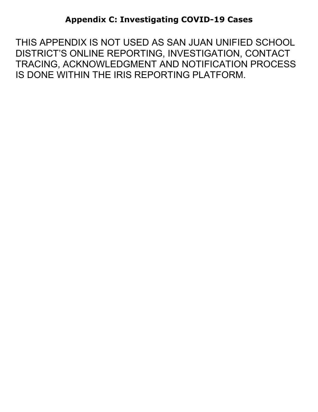THIS APPENDIX IS NOT USED AS SAN JUAN UNIFIED SCHOOL DISTRICT'S ONLINE REPORTING, INVESTIGATION, CONTACT TRACING, ACKNOWLEDGMENT AND NOTIFICATION PROCESS IS DONE WITHIN THE IRIS REPORTING PLATFORM.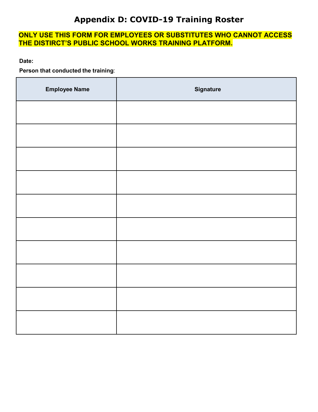## **Appendix D: COVID-19 Training Roster**

## **ONLY USE THIS FORM FOR EMPLOYEES OR SUBSTITUTES WHO CANNOT ACCESS THE DISTIRCT'S PUBLIC SCHOOL WORKS TRAINING PLATFORM.**

**Date:**

**Person that conducted the training**:

| <b>Employee Name</b> | <b>Signature</b> |
|----------------------|------------------|
|                      |                  |
|                      |                  |
|                      |                  |
|                      |                  |
|                      |                  |
|                      |                  |
|                      |                  |
|                      |                  |
|                      |                  |
|                      |                  |